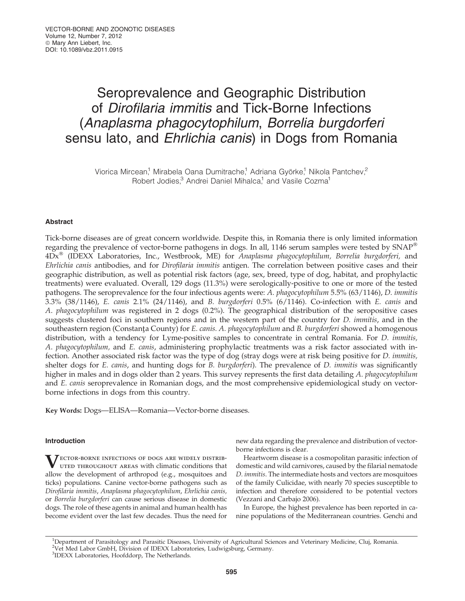# Seroprevalence and Geographic Distribution of Dirofilaria immitis and Tick-Borne Infections (Anaplasma phagocytophilum, Borrelia burgdorferi sensu lato, and Ehrlichia canis) in Dogs from Romania

Viorica Mircean,<sup>1</sup> Mirabela Oana Dumitrache,<sup>1</sup> Adriana Györke,<sup>1</sup> Nikola Pantchev,<sup>2</sup> Robert Jodies,<sup>3</sup> Andrei Daniel Mihalca,<sup>1</sup> and Vasile Cozma<sup>1</sup>

## Abstract

Tick-borne diseases are of great concern worldwide. Despite this, in Romania there is only limited information regarding the prevalence of vector-borne pathogens in dogs. In all, 1146 serum samples were tested by SNAP<sup>®</sup> 4Dx<sup>®</sup> (IDEXX Laboratories, Inc., Westbrook, ME) for Anaplasma phagocytophilum, Borrelia burgdorferi, and Ehrlichia canis antibodies, and for Dirofilaria immitis antigen. The correlation between positive cases and their geographic distribution, as well as potential risk factors (age, sex, breed, type of dog, habitat, and prophylactic treatments) were evaluated. Overall, 129 dogs (11.3%) were serologically-positive to one or more of the tested pathogens. The seroprevalence for the four infectious agents were: A. phagocytophilum 5.5% (63/1146), D. immitis 3.3% (38/1146), E. canis 2.1% (24/1146), and B. burgdorferi 0.5% (6/1146). Co-infection with E. canis and A. phagocytophilum was registered in 2 dogs (0.2%). The geographical distribution of the seropositive cases suggests clustered foci in southern regions and in the western part of the country for *D. immitis*, and in the southeastern region (Constanta County) for E. canis. A. phagocytophilum and B. burgdorferi showed a homogenous distribution, with a tendency for Lyme-positive samples to concentrate in central Romania. For *D. immitis*, A. phagocytophilum, and E. canis, administering prophylactic treatments was a risk factor associated with infection. Another associated risk factor was the type of dog (stray dogs were at risk being positive for D. immitis, shelter dogs for *E. canis*, and hunting dogs for *B. burgdorferi*). The prevalence of *D. immitis* was significantly higher in males and in dogs older than 2 years. This survey represents the first data detailing A. phagocytophilum and E. canis seroprevalence in Romanian dogs, and the most comprehensive epidemiological study on vectorborne infections in dogs from this country.

Key Words: Dogs—ELISA—Romania—Vector-borne diseases.

## Introduction

**VECTOR-BORNE INFECTIONS OF DOGS ARE WIDELY DISTRIB-**UTED THROUGHOUT AREAS with climatic conditions that allow the development of arthropod (e.g., mosquitoes and ticks) populations. Canine vector-borne pathogens such as Dirofilaria immitis, Anaplasma phagocytophilum, Ehrlichia canis, or Borrelia burgdorferi can cause serious disease in domestic dogs. The role of these agents in animal and human health has become evident over the last few decades. Thus the need for new data regarding the prevalence and distribution of vectorborne infections is clear.

Heartworm disease is a cosmopolitan parasitic infection of domestic and wild carnivores, caused by the filarial nematode D. immitis. The intermediate hosts and vectors are mosquitoes of the family Culicidae, with nearly 70 species susceptible to infection and therefore considered to be potential vectors (Vezzani and Carbajo 2006).

In Europe, the highest prevalence has been reported in canine populations of the Mediterranean countries. Genchi and

<sup>1</sup>Department of Parasitology and Parasitic Diseases, University of Agricultural Sciences and Veterinary Medicine, Cluj, Romania. <sup>2</sup>Vet Med Labor GmbH, Division of IDEXX Laboratories, Ludwigsburg, Germany. 3 IDEXX Laboratories, Hoofddorp, The Netherlands.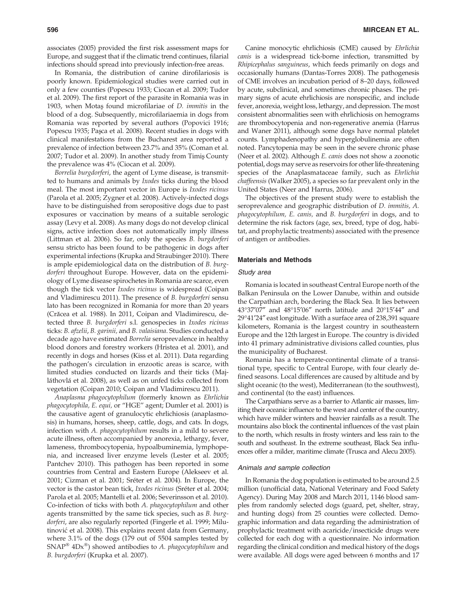associates (2005) provided the first risk assessment maps for Europe, and suggest that if the climatic trend continues, filarial infections should spread into previously infection-free areas.

In Romania, the distribution of canine dirofilariosis is poorly known. Epidemiological studies were carried out in only a few counties (Popescu 1933; Ciocan et al. 2009; Tudor et al. 2009). The first report of the parasite in Romania was in 1903, when Motas found microfilariae of *D. immitis* in the blood of a dog. Subsequently, microfilariaemia in dogs from Romania was reported by several authors (Popovici 1916; Popescu 1935; Pasca et al. 2008). Recent studies in dogs with clinical manifestations from the Bucharest area reported a prevalence of infection between 23.7% and 35% (Coman et al. 2007; Tudor et al. 2009). In another study from Timiş County the prevalence was 4% (Ciocan et al. 2009).

Borrelia burgdorferi, the agent of Lyme disease, is transmitted to humans and animals by Ixodes ticks during the blood meal. The most important vector in Europe is *Ixodes ricinus* (Parola et al. 2005; Zygner et al. 2008). Actively-infected dogs have to be distinguished from seropositive dogs due to past exposures or vaccination by means of a suitable serologic assay (Levy et al. 2008). As many dogs do not develop clinical signs, active infection does not automatically imply illness (Littman et al. 2006). So far, only the species B. burgdorferi sensu stricto has been found to be pathogenic in dogs after experimental infections (Krupka and Straubinger 2010). There is ample epidemiological data on the distribution of B. burgdorferi throughout Europe. However, data on the epidemiology of Lyme disease spirochetes in Romania are scarce, even though the tick vector Ixodes ricinus is widespread (Coipan and Vladimirescu 2011). The presence of *B. burgdorferi* sensu lato has been recognized in Romania for more than 20 years (Crăcea et al. 1988). In 2011, Coipan and Vladimirescu, detected three B. burgdorferi s.l. genospecies in Ixodes ricinus ticks: B. afzelii, B. garinii, and B. valaisiana. Studies conducted a decade ago have estimated Borrelia seroprevalence in healthy blood donors and forestry workers (Hristea et al. 2001), and recently in dogs and horses (Kiss et al. 2011). Data regarding the pathogen's circulation in enzootic areas is scarce, with limited studies conducted on lizards and their ticks (Majláthovlá et al. 2008), as well as on unfed ticks collected from vegetation (Coipan 2010; Coipan and Vladimirescu 2011).

Anaplasma phagocytophilum (formerly known as Ehrlichia phagocytophila, E. equi, or ''HGE'' agent; Dumler et al. 2001) is the causative agent of granulocytic ehrlichiosis (anaplasmosis) in humans, horses, sheep, cattle, dogs, and cats. In dogs, infection with A. phagocytophilum results in a mild to severe acute illness, often accompanied by anorexia, lethargy, fever, lameness, thrombocytopenia, hypoalbuminemia, lymphopenia, and increased liver enzyme levels (Lester et al. 2005; Pantchev 2010). This pathogen has been reported in some countries from Central and Eastern Europe (Alekseev et al. 2001; Cizman et al. 2001; Sréter et al. 2004). In Europe, the vector is the castor bean tick, Ixodes ricinus (Sréter et al. 2004; Parola et al. 2005; Mantelli et al. 2006; Severinsson et al. 2010). Co-infection of ticks with both A. phagocytophilum and other agents transmitted by the same tick species, such as B. burgdorferi, are also regularly reported (Fingerle et al. 1999; Milutinović et al. 2008). This explains recent data from Germany, where 3.1% of the dogs (179 out of 5504 samples tested by  $\text{SNAP}^{\circledast}$  4Dx $^{\circledast}$ ) showed antibodies to A. phagocytophilum and B. burgdorferi (Krupka et al. 2007).

Canine monocytic ehrlichiosis (CME) caused by Ehrlichia canis is a widespread tick-borne infection, transmitted by Rhipicephalus sanguineus, which feeds primarily on dogs and occasionally humans (Dantas-Torres 2008). The pathogenesis of CME involves an incubation period of 8–20 days, followed by acute, subclinical, and sometimes chronic phases. The primary signs of acute ehrlichiosis are nonspecific, and include fever, anorexia, weight loss, lethargy, and depression. The most consistent abnormalities seen with ehrlichiosis on hemograms are thrombocytopenia and non-regenerative anemia (Harrus and Waner 2011), although some dogs have normal platelet counts. Lymphadenopathy and hyperglobulinemia are often noted. Pancytopenia may be seen in the severe chronic phase (Neer et al. 2002). Although E. canis does not show a zoonotic potential, dogs may serve as reservoirs for other life-threatening species of the Anaplasmataceae family, such as Ehrlichia chaffeensis (Walker 2005), a species so far prevalent only in the United States (Neer and Harrus, 2006).

The objectives of the present study were to establish the seroprevalence and geographic distribution of D. immitis, A. phagocytophilum, E. canis, and B. burgdorferi in dogs, and to determine the risk factors (age, sex, breed, type of dog, habitat, and prophylactic treatments) associated with the presence of antigen or antibodies.

#### Materials and Methods

#### Study area

Romania is located in southeast Central Europe north of the Balkan Peninsula on the Lower Danube, within and outside the Carpathian arch, bordering the Black Sea. It lies between 43°37′07″ and 48°15′06″ north latitude and 20°15′44″ and 29°41'24" east longitude. With a surface area of 238,391 square kilometers, Romania is the largest country in southeastern Europe and the 12th largest in Europe. The country is divided into 41 primary administrative divisions called counties, plus the municipality of Bucharest.

Romania has a temperate-continental climate of a transitional type, specific to Central Europe, with four clearly defined seasons. Local differences are caused by altitude and by slight oceanic (to the west), Mediterranean (to the southwest), and continental (to the east) influences.

The Carpathians serve as a barrier to Atlantic air masses, limiting their oceanic influence to the west and center of the country, which have milder winters and heavier rainfalls as a result. The mountains also block the continental influences of the vast plain to the north, which results in frosty winters and less rain to the south and southeast. In the extreme southeast, Black Sea influences offer a milder, maritime climate (Trusca and Alecu 2005).

#### Animals and sample collection

In Romania the dog population is estimated to be around 2.5 million (unofficial data, National Veterinary and Food Safety Agency). During May 2008 and March 2011, 1146 blood samples from randomly selected dogs (guard, pet, shelter, stray, and hunting dogs) from 25 counties were collected. Demographic information and data regarding the administration of prophylactic treatment with acaricide/insecticide drugs were collected for each dog with a questionnaire. No information regarding the clinical condition and medical history of the dogs were available. All dogs were aged between 6 months and 17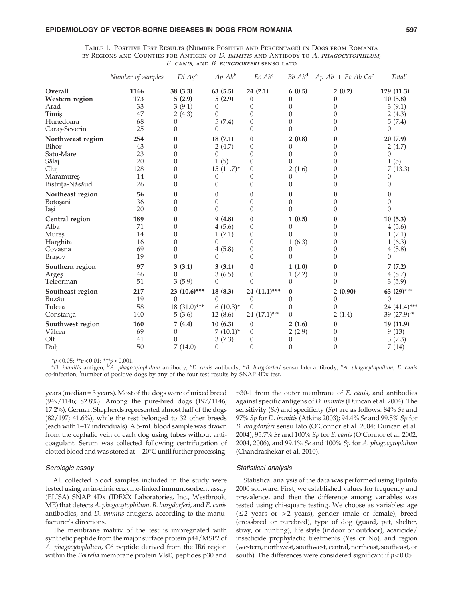## EPIDEMIOLOGY OF VECTOR-BORNE DISEASES IN DOGS FROM ROMANIA 597

| CAINID, AIND D. DUNODOMENI JENJO ERI |                   |                    |                   |                     |                    |                         |                       |  |  |  |  |
|--------------------------------------|-------------------|--------------------|-------------------|---------------------|--------------------|-------------------------|-----------------------|--|--|--|--|
|                                      | Number of samples | Di Ag <sup>a</sup> | $Ap$ $Abb$        | $Ec\ Abc$           | $Bb$ $Abd$         | $Ap\ Ab + Ec\ Ab\ Co^e$ | Total <sup>f</sup>    |  |  |  |  |
| Overall<br>Western region            | 1146<br>173       | 38 (3.3)<br>5(2.9) | 63(5.5)<br>5(2.9) | 24(2.1)<br>$\bf{0}$ | 6(0.5)<br>$\bf{0}$ | 2(0.2)<br>$\bf{0}$      | 129 (11.3)<br>10(5.8) |  |  |  |  |
| Arad                                 | 33                | 3(9.1)             | 0                 | $\theta$            | 0                  | 0                       | 3(9.1)                |  |  |  |  |
| Timiş                                | 47                | 2(4.3)             | 0                 | $\Omega$            | $\theta$           | $\theta$                | 2(4.3)                |  |  |  |  |
| Hunedoara                            | 68                | $\theta$           | 5(7.4)            | $\Omega$            | 0                  | $\theta$                | 5(7.4)                |  |  |  |  |
| Caraş-Severin                        | 25                | $\theta$           | $\Omega$          | $\Omega$            | $\theta$           | $\theta$                | $\Omega$              |  |  |  |  |
| Northweast region                    | 254               | $\bf{0}$           | 18(7.1)           | $\bf{0}$            | 2(0.8)             | $\bf{0}$                | 20(7.9)               |  |  |  |  |
| Bihor                                | 43                | $\theta$           | 2(4.7)            | $\Omega$            | 0                  | $\theta$                | 2(4.7)                |  |  |  |  |
| Satu-Mare                            | 23                | $\theta$           | 0                 | $\Omega$            | 0                  | $\theta$                | $\Omega$              |  |  |  |  |
| Sălaj                                | 20                | $\theta$           | 1(5)              | $\Omega$            | $\Omega$           | 0                       | 1(5)                  |  |  |  |  |
| Cluj                                 | 128               | $\theta$           | $15(11.7)^*$      | $\theta$            | 2(1.6)             | $\boldsymbol{0}$        | 17(13.3)              |  |  |  |  |
| Maramures                            | 14                | $\overline{0}$     | $\theta$          | $\Omega$            | 0                  | 0                       | 0                     |  |  |  |  |
| Bistrița-Năsăud                      | 26                | $\overline{0}$     | $\Omega$          | $\Omega$            | 0                  | $\theta$                | $\left( \right)$      |  |  |  |  |
| Northeast region                     | 56                | $\bf{0}$           | 0                 | 0                   | $\bf{0}$           | 0                       | 0                     |  |  |  |  |
| Botoşani                             | 36                | $\theta$           | 0                 | $\Omega$            | 0                  | 0                       | 0                     |  |  |  |  |
| Iași                                 | 20                | $\Omega$           | $\Omega$          | $\Omega$            | 0                  | 0                       | $\Omega$              |  |  |  |  |
| Central region                       | 189               | $\bf{0}$           | 9(4.8)            | $\bf{0}$            | 1(0.5)             | $\bf{0}$                | 10(5.3)               |  |  |  |  |
| Alba                                 | 71                | $\theta$           | 4(5.6)            | $\theta$            | $\theta$           | $\theta$                | 4(5.6)                |  |  |  |  |
| Mureş                                | 14                | $\overline{0}$     | 1(7.1)            | $\theta$            | $\Omega$           | $\overline{0}$          | 1(7.1)                |  |  |  |  |
| Harghita                             | 16                | $\theta$           | 0                 | $\Omega$            | 1(6.3)             | 0                       | 1(6.3)                |  |  |  |  |
| Covasna                              | 69                | $\theta$           | 4(5.8)            | $\theta$            | $\Omega$           | 0                       | 4(5.8)                |  |  |  |  |
| Brașov                               | 19                | $\theta$           | $\Omega$          | $\Omega$            | 0                  | $\theta$                | $\Omega$              |  |  |  |  |
| Southern region                      | 97                | 3(3.1)             | 3(3.1)            | $\bf{0}$            | 1(1.0)             | $\mathbf{0}$            | 7(7.2)                |  |  |  |  |
| Argeş                                | 46                | $\Omega$           | 3(6.5)            | $\Omega$            | 1(2.2)             | $\left($                | 4(8.7)                |  |  |  |  |
| Teleorman                            | 51                | 3(5.9)             | $\Omega$          | $\Omega$            | $\Omega$           | $\Omega$                | 3(5.9)                |  |  |  |  |
| Southeast region                     | 217               | 23 (10.6)***       | 18(8.3)           | 24 (11.1)***        | $\bf{0}$           | 2(0.90)                 | 63 (29)***            |  |  |  |  |
| Buzău                                | 19                | $\Omega$           | $\Omega$          | $\theta$            | $\theta$           | $\theta$                | $\theta$              |  |  |  |  |
| Tulcea                               | 58                | $18(31.0)***$      | $6(10.3)^{*}$     | $\Omega$            | $\theta$           | 0                       | 24 (41.4)***          |  |  |  |  |
| Constanța                            | 140               | 5(3.6)             | 12(8.6)           | 24 $(17.1)$ ***     | $\theta$           | 2(1.4)                  | 39 (27.9)**           |  |  |  |  |
| Southwest region                     | 160               | 7(4.4)             | 10(6.3)           | $\bf{0}$            | 2(1.6)             | $\bf{0}$                | 19 (11.9)             |  |  |  |  |
| Vâlcea                               | 69                | $\theta$           | $7(10.1)^*$       | $\theta$            | 2(2.9)             | 0                       | 9(13)                 |  |  |  |  |
| Olt                                  | 41                | 0                  | 3(7.3)            | $\theta$            | $\theta$           | $\theta$                | 3(7.3)                |  |  |  |  |
| Dolj                                 | 50                | 7(14.0)            | 0                 | $\theta$            | 0                  | $\theta$                | 7(14)                 |  |  |  |  |

Table 1. Positive Test Results (Number Positive and Percentage) in Dogs from Romania by Regions and Counties for Antigen of D. immitis and Antibody to  $A$ . *phagocytophilum*, E. canis, and B. burgdorferi senso lato

\*p<0.05; \*\*p<0.01; \*\*\*p<0.001.<br>ªD. immitis antigen; <sup>b</sup>A. phagocytophilum antibody; <sup>c</sup>E. canis antibody; <sup>d</sup>B. burgdorferi sensu lato antibody; <sup>e</sup>A. phagocytophilum, E. canis co-infection; <sup>f</sup> number of positive dogs by any of the four test results by SNAP 4Dx test.

years (median = 3 years). Most of the dogs were of mixed breed (949/1146; 82.8%). Among the pure-bred dogs (197/1146; 17.2%), German Shepherds represented almost half of the dogs (82/197; 41.6%), while the rest belonged to 32 other breeds (each with 1–17 individuals). A 5-mL blood sample was drawn from the cephalic vein of each dog using tubes without anticoagulant. Serum was collected following centrifugation of clotted blood and was stored at  $-20^{\circ}$ C until further processing.

### Serologic assay

All collected blood samples included in the study were tested using an in-clinic enzyme-linked immunosorbent assay (ELISA) SNAP 4Dx (IDEXX Laboratories, Inc., Westbrook, ME) that detects A. phagocytophilum, B. burgdorferi, and E. canis antibodies, and D. immitis antigens, according to the manufacturer's directions.

The membrane matrix of the test is impregnated with synthetic peptide from the major surface protein p44/MSP2 of A. phagocytophilum, C6 peptide derived from the IR6 region within the Borrelia membrane protein VlsE, peptides p30 and

p30-1 from the outer membrane of E. canis, and antibodies against specific antigens of D. immitis(Duncan et al. 2004). The sensitivity (Se) and specificity (Sp) are as follows:  $84\%$  Se and 97% Sp for D. immitis (Atkins 2003); 94.4% Se and 99.5% Sp for B. burgdorferi sensu lato (O'Connor et al. 2004; Duncan et al. 2004); 95.7% Se and 100% Sp for E. canis (O'Connor et al. 2002, 2004, 2006), and 99.1% Se and 100% Sp for A. phagocytophilum (Chandrashekar et al. 2010).

#### Statistical analysis

Statistical analysis of the data was performed using EpiInfo 2000 software. First, we established values for frequency and prevalence, and then the difference among variables was tested using chi-square testing. We choose as variables: age  $(52 \text{ years or } > 2 \text{ years})$ , gender (male or female), breed (crossbred or purebred), type of dog (guard, pet, shelter, stray, or hunting), life style (indoor or outdoor), acaricide/ insecticide prophylactic treatments (Yes or No), and region (western, northwest, southwest, central, northeast, southeast, or south). The differences were considered significant if  $p < 0.05$ .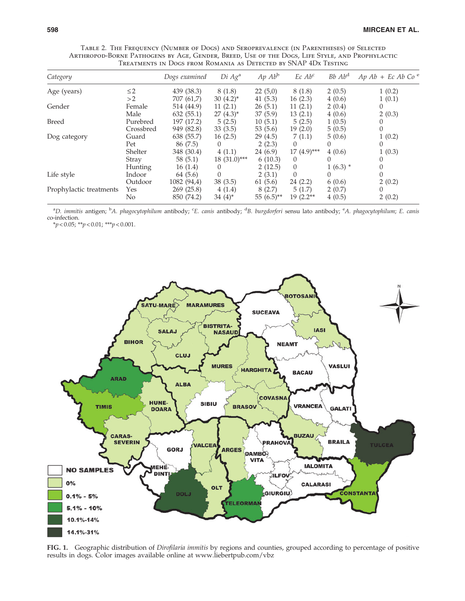| Category                |           | Dogs examined | Di Ag <sup>a</sup> | $Ap$ $Abb$   | Ec Ab <sup>c</sup> | $Bb$ $Abd$ | $Ap\ Ab + Ec\ Ab\ Co^e$ |  |  |  |
|-------------------------|-----------|---------------|--------------------|--------------|--------------------|------------|-------------------------|--|--|--|
| Age (years)             | $\leq$ 2  | 439 (38.3)    | 8(1.8)             | 22(5,0)      | 8 (1.8)            | 2(0.5)     | 1(0.2)                  |  |  |  |
|                         | >2        | 707 (61,7)    | $30(4.2)^{*}$      | 41 (5.3)     | 16(2.3)            | 4(0.6)     | 1(0.1)                  |  |  |  |
| Gender                  | Female    | 514 (44.9)    | 11(2.1)            | 26(5.1)      | 11(2.1)            | 2(0.4)     |                         |  |  |  |
|                         | Male      | 632(55.1)     | $27(4.3)^{*}$      | 37(5.9)      | 13(2.1)            | 4(0.6)     | 2(0.3)                  |  |  |  |
| <b>Breed</b>            | Purebred  | 197 (17.2)    | 5(2.5)             | 10(5.1)      | 5(2.5)             | 1(0.5)     |                         |  |  |  |
|                         | Crossbred | 949 (82.8)    | 33(3.5)            | 53 $(5.6)$   | 19(2.0)            | 5(0.5)     |                         |  |  |  |
| Dog category            | Guard     | 638 (55.7)    | 16(2.5)            | 29(4.5)      | 7(1.1)             | 5(0.6)     | 1(0.2)                  |  |  |  |
|                         | Pet       | 86 (7.5)      | 0                  | 2(2.3)       | $\Omega$           | $\theta$   |                         |  |  |  |
|                         | Shelter   | 348 (30.4)    | 4(1.1)             | 24 (6.9)     | $17(4.9)$ ***      | 4(0.6)     | 1(0.3)                  |  |  |  |
|                         | Stray     | 58(5.1)       | $18(31.0)$ ***     | 6(10.3)      | $\theta$           | $\Omega$   |                         |  |  |  |
|                         | Hunting   | 16(1.4)       | $\theta$           | 2(12.5)      | $\theta$           | $1(6.3)$ * |                         |  |  |  |
| Life style              | Indoor    | 64 (5.6)      | $\Omega$           | 2(3.1)       | $\Omega$           | $\Omega$   |                         |  |  |  |
|                         | Outdoor   | 1082 (94,4)   | 38(3.5)            | 61(5.6)      | 24(2.2)            | 6(0.6)     | 2(0.2)                  |  |  |  |
| Prophylactic treatments | Yes       | 269 (25.8)    | 4(1.4)             | 8(2.7)       | 5(1.7)             | 2(0.7)     |                         |  |  |  |
|                         | No        | 850 (74.2)    | $34(4)$ *          | $55(6.5)$ ** | $19(2.2**$         | 4(0.5)     | 2(0.2)                  |  |  |  |

Table 2. The Frequency (Number of Dogs) and Seroprevalence (in Parentheses) of Selected Arthropod-Borne Pathogens by Age, Gender, Breed, Use of the Dogs, Life Style, and Prophylactic Treatments in Dogs from Romania as Detected by SNAP 4Dx Testing

<sup>a</sup>D. immitis antigen; <sup>b</sup>A. phagocytophilum antibody; <sup>c</sup>E. canis antibody; <sup>d</sup>B. burgdorferi sensu lato antibody; <sup>e</sup>A. phagocytophilum; E. canis co-infection.

 $*_{p < 0.05;}$   $*_{p < 0.01;}$   $*_{p < 0.001.}$ 



FIG. 1. Geographic distribution of *Dirofilaria immitis* by regions and counties, grouped according to percentage of positive results in dogs. Color images available online at www.liebertpub.com/vbz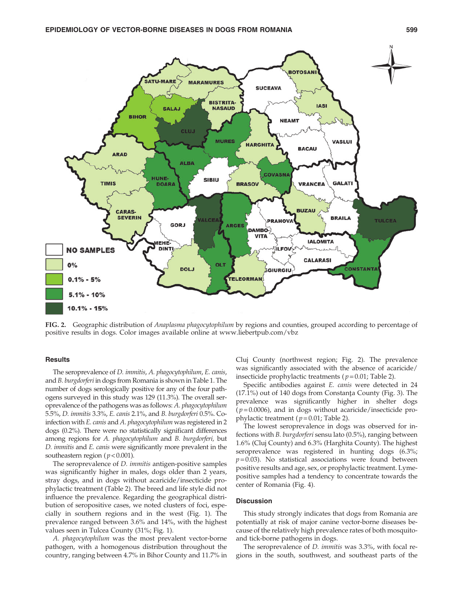

FIG. 2. Geographic distribution of Anaplasma phagocytophilum by regions and counties, grouped according to percentage of positive results in dogs. Color images available online at www.liebertpub.com/vbz

# **Results**

The seroprevalence of D. immitis, A. phagocytophilum, E. canis, and B. burgdorferi in dogs from Romania is shown in Table 1. The number of dogs serologically positive for any of the four pathogens surveyed in this study was 129 (11.3%). The overall seroprevalence of the pathogens was as follows: A. phagocytophilum 5.5%, D. immitis 3.3%, E. canis 2.1%, and B. burgdorferi 0.5%. Coinfection with E. canis and A. phagocytophilum was registered in 2 dogs (0.2%). There were no statistically significant differences among regions for A. phagocytophilum and B. burgdorferi, but D. immitis and E. canis were significantly more prevalent in the southeastern region ( $p < 0.001$ ).

The seroprevalence of D. immitis antigen-positive samples was significantly higher in males, dogs older than 2 years, stray dogs, and in dogs without acaricide/insecticide prophylactic treatment (Table 2). The breed and life style did not influence the prevalence. Regarding the geographical distribution of seropositive cases, we noted clusters of foci, especially in southern regions and in the west (Fig. 1). The prevalence ranged between 3.6% and 14%, with the highest values seen in Tulcea County (31%; Fig. 1).

A. phagocytophilum was the most prevalent vector-borne pathogen, with a homogenous distribution throughout the country, ranging between 4.7% in Bihor County and 11.7% in Cluj County (northwest region; Fig. 2). The prevalence was significantly associated with the absence of acaricide/ insecticide prophylactic treatments ( $p = 0.01$ ; Table 2).

Specific antibodies against E. canis were detected in 24  $(17.1\%)$  out of 140 dogs from Constanta County (Fig. 3). The prevalence was significantly higher in shelter dogs  $(p=0.0006)$ , and in dogs without acaricide/insecticide prophylactic treatment ( $p = 0.01$ ; Table 2).

The lowest seroprevalence in dogs was observed for infections with B. burgdorferi sensu lato (0.5%), ranging between 1.6% (Cluj County) and 6.3% (Harghita County). The highest seroprevalence was registered in hunting dogs (6.3%;  $p = 0.03$ ). No statistical associations were found between positive results and age, sex, or prophylactic treatment. Lymepositive samples had a tendency to concentrate towards the center of Romania (Fig. 4).

## **Discussion**

This study strongly indicates that dogs from Romania are potentially at risk of major canine vector-borne diseases because of the relatively high prevalence rates of both mosquitoand tick-borne pathogens in dogs.

The seroprevalence of D. immitis was 3.3%, with focal regions in the south, southwest, and southeast parts of the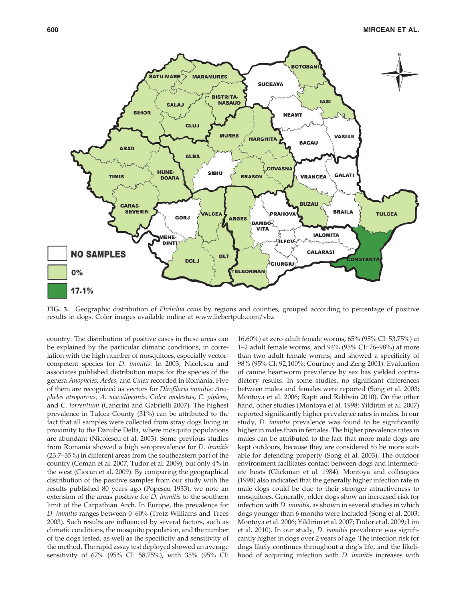

FIG. 3. Geographic distribution of Ehrlichia canis by regions and counties, grouped according to percentage of positive results in dogs. Color images available online at www.liebertpub.com/vbz

country. The distribution of positive cases in these areas can be explained by the particular climatic conditions, in correlation with the high number of mosquitoes, especially vectorcompetent species for D. immitis. In 2003, Nicolescu and associates published distribution maps for the species of the genera Anopheles, Aedes, and Culex recorded in Romania. Five of them are recognized as vectors for Dirofilaria immitis: Anopheles atroparvus, A. maculipennis, Culex modestus, C. pipiens, and C. torrentium (Cancrini and Gabrielli 2007). The highest prevalence in Tulcea County (31%) can be attributed to the fact that all samples were collected from stray dogs living in proximity to the Danube Delta, where mosquito populations are abundant (Nicolescu et al. 2003). Some previous studies from Romania showed a high seroprevalence for D. immitis (23.7–35%) in different areas from the southeastern part of the country (Coman et al. 2007; Tudor et al. 2009), but only 4% in the west (Ciocan et al. 2009). By comparing the geographical distribution of the positive samples from our study with the results published 80 years ago (Popescu 1933), we note an extension of the areas positive for D. immitis to the southern limit of the Carpathian Arch. In Europe, the prevalence for D. immitis ranges between 0–60% (Trotz-Williams and Trees 2003). Such results are influenced by several factors, such as climatic conditions, the mosquito population, and the number of the dogs tested, as well as the specificity and sensitivity of the method. The rapid assay test deployed showed an average sensitivity of 67% (95% CI: 58,75%), with 35% (95% CI: 16,60%) at zero adult female worms, 65% (95% CI: 53,75%) at 1–2 adult female worms, and 94% (95% CI: 76–98%) at more than two adult female worms, and showed a specificity of 98% (95% CI: 92,100%; Courtney and Zeng 2001). Evaluation of canine heartworm prevalence by sex has yielded contradictory results. In some studies, no significant differences between males and females were reported (Song et al. 2003; Montoya et al. 2006; Rapti and Rehbein 2010). On the other hand, other studies (Montoya et al. 1998; Yildirim et al. 2007) reported significantly higher prevalence rates in males. In our study, D. immitis prevalence was found to be significantly higher in males than in females. The higher prevalence rates in males can be attributed to the fact that more male dogs are kept outdoors, because they are considered to be more suitable for defending property (Song et al. 2003). The outdoor environment facilitates contact between dogs and intermediate hosts (Glickman et al. 1984). Montoya and colleagues (1998) also indicated that the generally higher infection rate in male dogs could be due to their stronger attractiveness to mosquitoes. Generally, older dogs show an increased risk for infection with D. immitis, as shown in several studies in which dogs younger than 6 months were included (Song et al. 2003; Montoya et al. 2006; Yildirim et al. 2007; Tudor et al. 2009; Lim et al. 2010). In our study, D. immitis prevalence was significantly higher in dogs over 2 years of age. The infection risk for dogs likely continues throughout a dog's life, and the likelihood of acquiring infection with D. immitis increases with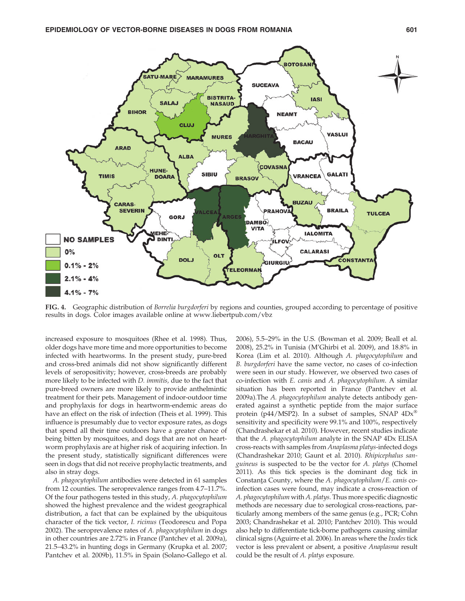

FIG. 4. Geographic distribution of Borrelia burgdorferi by regions and counties, grouped according to percentage of positive results in dogs. Color images available online at www.liebertpub.com/vbz

increased exposure to mosquitoes (Rhee et al. 1998). Thus, older dogs have more time and more opportunities to become infected with heartworms. In the present study, pure-bred and cross-bred animals did not show significantly different levels of seropositivity; however, cross-breeds are probably more likely to be infected with D. immitis, due to the fact that pure-breed owners are more likely to provide anthelmintic treatment for their pets. Management of indoor-outdoor time and prophylaxis for dogs in heartworm-endemic areas do have an effect on the risk of infection (Theis et al. 1999). This influence is presumably due to vector exposure rates, as dogs that spend all their time outdoors have a greater chance of being bitten by mosquitoes, and dogs that are not on heartworm prophylaxis are at higher risk of acquiring infection. In the present study, statistically significant differences were seen in dogs that did not receive prophylactic treatments, and also in stray dogs.

A. phagocytophilum antibodies were detected in 61 samples from 12 counties. The seroprevalence ranges from 4.7–11.7%. Of the four pathogens tested in this study, A. phagocytophilum showed the highest prevalence and the widest geographical distribution, a fact that can be explained by the ubiquitous character of the tick vector, I. ricinus (Teodorescu and Popa 2002). The seroprevalence rates of A. phagocytophilum in dogs in other countries are 2.72% in France (Pantchev et al. 2009a), 21.5–43.2% in hunting dogs in Germany (Krupka et al. 2007; Pantchev et al. 2009b), 11.5% in Spain (Solano-Gallego et al.

2006), 5.5–29% in the U.S. (Bowman et al. 2009; Beall et al. 2008), 25.2% in Tunisia (M'Ghirbi et al. 2009), and 18.8% in Korea (Lim et al. 2010). Although A. phagocytophilum and B. burgdorferi have the same vector, no cases of co-infection were seen in our study. However, we observed two cases of co-infection with E. canis and A. phagocytophilum. A similar situation has been reported in France (Pantchev et al. 2009a).The A. phagocytophilum analyte detects antibody generated against a synthetic peptide from the major surface protein (p44/MSP2). In a subset of samples, SNAP  $4Dx^{\circledast}$ sensitivity and specificity were 99.1% and 100%, respectively (Chandrashekar et al. 2010). However, recent studies indicate that the A. phagocytophilum analyte in the SNAP 4Dx ELISA cross-reacts with samples from Anaplasma platys-infected dogs (Chandrashekar 2010; Gaunt et al. 2010). Rhipicephalus sanguineus is suspected to be the vector for A. platys (Chomel 2011). As this tick species is the dominant dog tick in Constanța County, where the A. phagocytophilum/E. canis coinfection cases were found, may indicate a cross-reaction of A. phagocytophilum with A. platys. Thus more specific diagnostic methods are necessary due to serological cross-reactions, particularly among members of the same genus (e.g., PCR; Cohn 2003; Chandrashekar et al. 2010; Pantchev 2010). This would also help to differentiate tick-borne pathogens causing similar clinical signs (Aguirre et al. 2006). In areas where the Ixodes tick vector is less prevalent or absent, a positive Anaplasma result could be the result of A. platys exposure.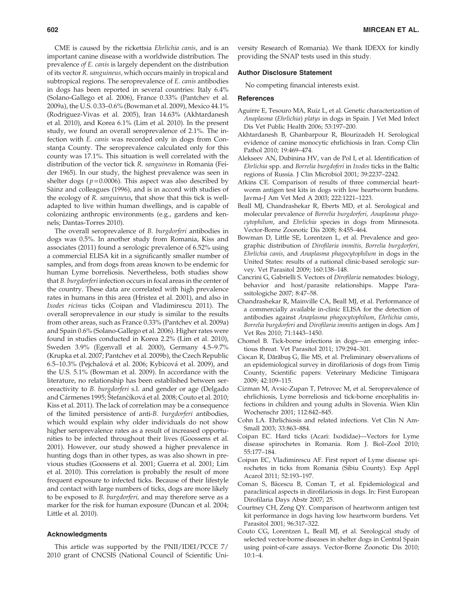CME is caused by the rickettsia Ehrlichia canis, and is an important canine disease with a worldwide distribution. The prevalence of E. canis is largely dependent on the distribution of its vector R. sanguineus, which occurs mainly in tropical and subtropical regions. The seroprevalence of *E. canis* antibodies in dogs has been reported in several countries: Italy 6.4% (Solano-Gallego et al. 2006), France 0.33% (Pantchev et al. 2009a), the U.S. 0.33–0.6% (Bowman et al. 2009), Mexico 44.1% (Rodriguez-Vivas et al. 2005), Iran 14.63% (Akhtardanesh et al. 2010), and Korea 6.1% (Lim et al. 2010). In the present study, we found an overall seroprevalence of 2.1%. The infection with E. canis was recorded only in dogs from Constanța County. The seroprevalence calculated only for this county was 17.1%. This situation is well correlated with the distribution of the vector tick R. sanguineus in Romania (Feider 1965). In our study, the highest prevalence was seen in shelter dogs ( $p = 0.0006$ ). This aspect was also described by Sàinz and colleagues (1996), and is in accord with studies of the ecology of R. sanguineus, that show that this tick is welladapted to live within human dwellings, and is capable of colonizing anthropic environments (e.g., gardens and kennels; Dantas-Torres 2010).

The overall seroprevalence of B. burgdorferi antibodies in dogs was 0.5%. In another study from Romania, Kiss and associates (2011) found a serologic prevalence of 6.52% using a commercial ELISA kit in a significantly smaller number of samples, and from dogs from areas known to be endemic for human Lyme borreliosis. Nevertheless, both studies show that B. burgdorferi infection occurs in focal areas in the center of the country. These data are correlated with high prevalence rates in humans in this area (Hristea et al. 2001), and also in Ixodes ricinus ticks (Coipan and Vladimirescu 2011). The overall seroprevalence in our study is similar to the results from other areas, such as France 0.33% (Pantchev et al. 2009a) and Spain 0.6% (Solano-Gallego et al. 2006). Higher rates were found in studies conducted in Korea 2.2% (Lim et al. 2010), Sweden 3.9% (Egenvall et al. 2000), Germany 4.5–9.7% (Krupka et al. 2007; Pantchev et al. 2009b), the Czech Republic 6.5–10.3% (Pejchalová et al. 2006; Kybicová et al. 2009), and the U.S. 5.1% (Bowman et al. 2009). In accordance with the literature, no relationship has been established between seroreactivity to B. burgdorferi s.l. and gender or age (Delgado and Cármenes 1995; Štefančíková et al. 2008; Couto et al. 2010; Kiss et al. 2011). The lack of correlation may be a consequence of the limited persistence of anti-B. burgdorferi antibodies, which would explain why older individuals do not show higher seroprevalence rates as a result of increased opportunities to be infected throughout their lives (Goossens et al. 2001). However, our study showed a higher prevalence in hunting dogs than in other types, as was also shown in previous studies (Goossens et al. 2001; Guerra et al. 2001; Lim et al. 2010). This correlation is probably the result of more frequent exposure to infected ticks. Because of their lifestyle and contact with large numbers of ticks, dogs are more likely to be exposed to B. burgdorferi, and may therefore serve as a marker for the risk for human exposure (Duncan et al. 2004; Little et al. 2010).

#### Acknowledgments

This article was supported by the PNII/IDEI/PCCE 7/ 2010 grant of CNCSIS (National Council of Scientific University Research of Romania). We thank IDEXX for kindly providing the SNAP tests used in this study.

#### Author Disclosure Statement

No competing financial interests exist.

## **References**

- Aguirre E, Tesouro MA, Ruiz L, et al. Genetic characterization of Anaplasma (Ehrlichia) platys in dogs in Spain. J Vet Med Infect Dis Vet Public Health 2006; 53:197–200.
- Akhtardanesh B, Ghanbarpour R, Blourizadeh H. Serological evidence of canine monocytic ehrlichiosis in Iran. Comp Clin Pathol 2010; 19:469–474.
- Alekseev AN, Dubinina HV, van de Pol I, et al. Identification of Ehrlichia spp. and Borrelia burgdoferi in Ixodes ticks in the Baltic regions of Russia. J Clin Microbiol 2001; 39:2237–2242.
- Atkins CE. Comparison of results of three commercial heartworm antigen test kits in dogs with low heartworm burdens. Javma-J Am Vet Med A 2003; 222:1221–1223.
- Beall MJ, Chandrashekar R, Eberts MD, et al. Serological and molecular prevalence of Borrelia burgdorferi, Anaplasma phagocytophilum, and Ehrlichia species in dogs from Minnesota. Vector-Borne Zoonotic Dis 2008; 8:455–464.
- Bowman D, Little SE, Lorentzen L, et al. Prevalence and geographic distribution of Dirofilaria immitis, Borrelia burgdorferi, Ehrlichia canis, and Anaplasma phagocytophilum in dogs in the United States: results of a national clinic-based serologic survey. Vet Parasitol 2009; 160:138–148.
- Cancrini G, Gabrielli S. Vectors of Dirofilaria nematodes: biology, behavior and host/parasite relationships. Mappe Parassitologiche 2007; 8:47–58.
- Chandrashekar R, Mainville CA, Beall MJ, et al. Performance of a commercially available in-clinic ELISA for the detection of antibodies against Anaplasma phagocytophilum, Ehrlichia canis, Borrelia burgdorferi and Dirofilaria immitis antigen in dogs. Am J Vet Res 2010; 71:1443–1450.
- Chomel B. Tick-borne infections in dogs—an emerging infectious threat. Vet Parasitol 2011; 179:294–301.
- Ciocan R, Dărăbuş G, Ilie MS, et al. Preliminary observalions of an epidemiological survey in dirofilariosis of dogs from Timiş County, Scientific papers: Veterinary Medicine Timișoara 2009; 42:109–115.
- Cizman M, Avsic-Zupan T, Petrovec M, et al. Seroprevalence of ehrlichiosis, Lyme borreliosis and tick-borne encephalitis infections in children and young adults in Slovenia. Wien Klin Wochenschr 2001; 112:842–845.
- Cohn LA. Ehrlichiosis and related infections. Vet Clin N Am-Small 2003; 33:863–884.
- Coipan EC. Hard ticks (Acari: Ixodidae)—Vectors for Lyme disease spirochetes in Romania. Rom J. Biol–Zool 2010; 55:177–184.
- Coipan EC, Vladimirescu AF. First report of Lyme disease spirochetes in ticks from Romania (Sibiu County). Exp Appl Acarol 2011; 52:193–197.
- Coman S, Bãcescu B, Coman T, et al. Epidemiological and paraclinical aspects in dirofilariosis in dogs. In: First European Dirofilaria Days Abstr 2007; 25.
- Courtney CH, Zeng QY. Comparison of heartworm antigen test kit performance in dogs having low heartworm burdens. Vet Parasitol 2001; 96:317–322.
- Couto CG, Lorentzen L, Beall MJ, et al. Serological study of selected vector-borne diseases in shelter dogs in Central Spain using point-of-care assays. Vector-Borne Zoonotic Dis 2010; 10:1–4.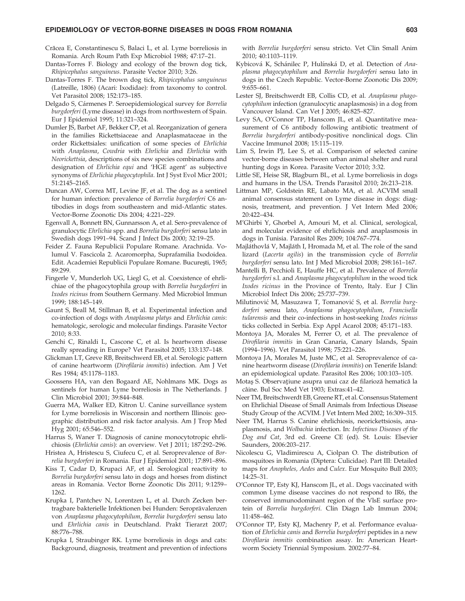#### EPIDEMIOLOGY OF VECTOR-BORNE DISEASES IN DOGS FROM ROMANIA 603

- Crăcea E, Constantinescu S, Balaci L, et al. Lyme borreliosis in Romania. Arch Roum Path Exp Microbiol 1988; 47:17–21.
- Dantas-Torres F. Biology and ecology of the brown dog tick, Rhipicephalus sanguineus. Parasite Vector 2010; 3:26.
- Dantas-Torres F. The brown dog tick, Rhipicephalus sanguineus (Latreille, 1806) (Acari: Ixodidae): from taxonomy to control. Vet Parasitol 2008; 152:173–185.
- Delgado S, Cármenes P. Seroepidemiological survey for Borrelia burgdorferi (Lyme disease) in dogs from northwestern of Spain. Eur J Epidemiol 1995; 11:321–324.
- Dumler JS, Barbet AF, Bekker CP, et al. Reorganization of genera in the families Rickettsiaceae and Anaplasmataceae in the order Rickettsiales: unification of some species of Ehrlichia with Anaplasma, Cowdria with Ehrlichia and Ehrlichia with Neorickettsia, descriptions of six new species combinations and designation of Ehrlichia equi and 'HGE agent' as subjective synonyms of Ehrlichia phagocytophila. Int J Syst Evol Micr 2001; 51:2145–2165.
- Duncan AW, Correa MT, Levine JF, et al. The dog as a sentinel for human infection: prevalence of Borrelia burgdorferi C6 antibodies in dogs from southeastern and mid-Atlantic states. Vector-Borne Zoonotic Dis 2004; 4:221–229.
- Egenvall A, Bonnett BN, Gunnarsson A, et al. Sero-prevalence of granulocytic Ehrlichia spp. and Borrelia burgdorferi sensu lato in Swedish dogs 1991–94. Scand J Infect Dis 2000; 32:19–25.
- Feider Z. Fauna Republicii Populare Romane. Arachnida. Volumul V. Fascicola 2. Acaromorpha, Suprafamilia Ixodoidea. Edit. Academiei Republicii Populare Romane. București, 1965; 89:299.
- Fingerle V, Munderloh UG, Liegl G, et al. Coexistence of ehrlichiae of the phagocytophila group with Borrelia burgdorferi in Ixodes ricinus from Southern Germany. Med Microbiol Immun 1999; 188:145–149.
- Gaunt S, Beall M, Stillman B, et al. Experimental infection and co-infection of dogs with Anaplasma platys and Ehrlichia canis: hematologic, serologic and molecular findings. Parasite Vector 2010; 8:33.
- Genchi C, Rinaldi L, Cascone C, et al. Is heartworm disease really spreading in Europe? Vet Parasitol 2005; 133:137–148.
- Glickman LT, Greve RB, Breitschwerd EB, et al. Serologic pattern of canine heartworm (Dirofilaria immitis) infection. Am J Vet Res 1984; 45:1178–1183.
- Goossens HA, van den Bogaard AE, Nohlmans MK. Dogs as sentinels for human Lyme borreliosis in The Netherlands. J Clin Microbiol 2001; 39:844–848.
- Guerra MA, Walker ED, Kitron U. Canine surveillance system for Lyme borreliosis in Wisconsin and northern Illinois: geographic distribution and risk factor analysis. Am J Trop Med Hyg 2001; 65:546–552.
- Harrus S, Waner T. Diagnosis of canine monocytotropic ehrlichiosis (Ehrlichia canis): an overview. Vet J 2011; 187:292–296.
- Hristea A, Hristescu S, Ciufecu C, et al. Seroprevalence of Borrelia burgdorferi in Romania. Eur J Epidemiol 2001; 17:891–896.
- Kiss T, Cadar D, Krupaci AF, et al. Serological reactivity to Borrelia burgdorferi sensu lato in dogs and horses from distinct areas in Romania. Vector Borne Zoonotic Dis 2011; 9:1259– 1262.
- Krupka I, Pantchev N, Lorentzen L, et al. Durch Zecken bertragbare bakterielle Infektionen bei Hunden: Seroprävalenzen von Anaplasma phagocytophilum, Borrelia burgdorferi sensu lato und Ehrlichia canis in Deutschland. Prakt Tierarzt 2007; 88:776–788.
- Krupka I, Straubinger RK. Lyme borreliosis in dogs and cats: Background, diagnosis, treatment and prevention of infections

with Borrelia burgdorferi sensu stricto. Vet Clin Small Anim 2010; 40:1103–1119.

- Kybicová K, Schánilec P, Hulínská D, et al. Detection of Anaplasma phagocytophilum and Borrelia burgdorferi sensu lato in dogs in the Czech Republic. Vector-Borne Zoonotic Dis 2009; 9:655–661.
- Lester SJ, Breitschwerdt EB, Collis CD, et al. Anaplasma phagocytophilum infection (granulocytic anaplasmosis) in a dog from Vancouver Island. Can Vet J 2005; 46:825–827.
- Levy SA, O'Connor TP, Hanscom JL, et al. Quantitative measurement of C6 antibody following antibiotic treatment of Borrelia burgdorferi antibody-positive nonclinical dogs. Clin Vaccine Immunol 2008; 15:115–119.
- Lim S, Irwin PJ, Lee S, et al. Comparison of selected canine vector-borne diseases between urban animal shelter and rural hunting dogs in Korea. Parasite Vector 2010; 3:32.
- Little SE, Heise SR, Blagburn BL, et al. Lyme borreliosis in dogs and humans in the USA. Trends Parasitol 2010; 26:213–218.
- Littman MP, Goldstein RE, Labato MA, et al. ACVIM small animal consensus statement on Lyme disease in dogs: diagnosis, treatment, and prevention. J Vet Intern Med 2006; 20:422–434.
- M'Ghirbi Y, Ghorbel A, Amouri M, et al. Clinical, serological, and molecular evidence of ehrlichiosis and anaplasmosis in dogs in Tunisia. Parasitol Res 2009; 104:767–774.
- Majláthovlá V, Majláth I, Hromada M, et al. The role of the sand lizard (Lacerta agilis) in the transmission cycle of Borrelia burgdorferi sensu lato. Int J Med Microbiol 2008; 298:161–167.
- Mantelli B, Pecchioli E, Hauffe HC, et al. Prevalence of Borrelia burgdorferi s.l. and Anaplasma phagocytophilum in the wood tick Ixodes ricinus in the Province of Trento, Italy. Eur J Clin Microbiol Infect Dis 2006; 25:737–739.
- Milutinović M, Masuzawa T, Tomanović S, et al. Borrelia burgdorferi sensu lato, Anaplasma phagocytophilum, Francisella tularensis and their co-infections in host-seeking Ixodes ricinus ticks collected in Serbia. Exp Appl Acarol 2008; 45:171–183.
- Montoya JA, Morales M, Ferrer O, et al. The prevalence of Dirofilaria immitis in Gran Canaria, Canary Islands, Spain (1994–1996). Vet Parasitol 1998; 75:221–226.
- Montoya JA, Morales M, Juste MC, et al. Seroprevalence of canine heartworm disease (Dirofilaria immitis) on Tenerife Island: an epidemiological update. Parasitol Res 2006; 100:103–105.
- Motaş S. Observațiune asupra unui caz de filarioză hematică la câine. Bul Soc Med Vet 1903; Extras:41-42.
- Neer TM, Breitschwerdt EB, Greene RT, et al. Consensus Statement on Ehrlichial Disease of Small Animals from Infectious Disease Study Group of the ACVIM. J Vet Intern Med 2002; 16:309–315.
- Neer TM, Harrus S. Canine ehrlichiosis, neorickettsiosis, anaplasmosis, and Wolbachia infection. In: Infectious Diseases of the Dog and Cat, 3rd ed. Greene CE (ed). St. Louis: Elsevier Saunders, 2006:203–217.
- Nicolescu G, Vladimirescu A, Ciolpan O. The distribution of mosquitoes in Romania (Diptera: Culicidae). Part III: Detailed maps for Anopheles, Aedes and Culex. Eur Mosquito Bull 2003; 14:25–31.
- O'Connor TP, Esty KJ, Hanscom JL, et al.. Dogs vaccinated with common Lyme disease vaccines do not respond to IR6, the conserved immunodominant region of the VlsE surface protein of Borrelia burgdorferi. Clin Diagn Lab Immun 2004; 11:458–462.
- O'Connor TP, Esty KJ, Machenry P, et al. Performance evaluation of Ehrlichia canis and Borrelia burgdorferi peptides in a new Dirofilaria immitis combination assay. In: American Heartworm Society Triennial Symposium. 2002:77–84.